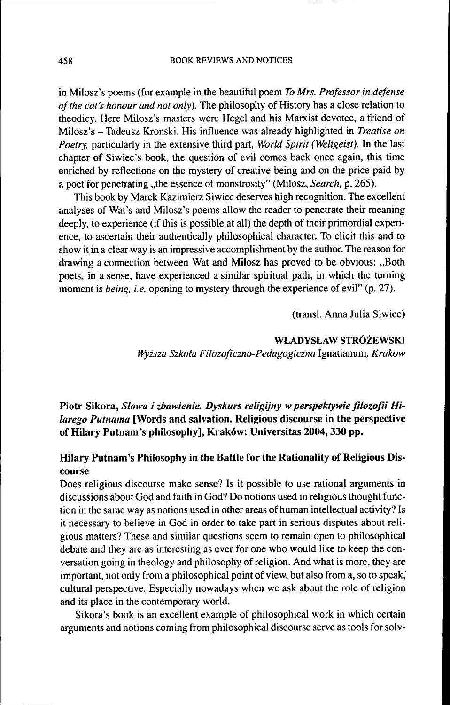in Milosz's poems (for example in the beautiful poem *To Mrs. Professor in defense of the cat's honour and not only).* The philosophy of History has a close relation to theodicy. Here Milosz's masters were Hegel and his Marxist devotee, a friend of Milosz's - Tadeusz Kronski. His influence was already highlighted in *Treatise on Poetry,* particularly in the extensive third part, *World Spirit (Weltgeist).* In the last chapter of Siwiec's book, the question of evil comes back once again, this time enriched by reflections on the mystery of creative being and on the price paid by a poet for penetrating "the essence of monstrosity" (Milosz, *Search*, p. 265).

This book by Marek Kazimierz Siwiec deserves high recognition. The excellent analyses of Wat's and Milosz's poems allow the reader to penetrate their meaning deeply, to experience (if this is possible at all) the depth of their primordial experience, to ascertain their authentically philosophical character. To elicit this and to show it in a clear way is an impressive accomplishment by the author. The reason for drawing a connection between Wat and Milosz has proved to be obvious: "Both poets, in a sense, have experienced a similar spiritual path, in which the turning moment is *being, i.e.* opening to mystery through the experience of evil" (p. 27).

(transi. Anna Julia Siwiec)

## **WLADYSLAW STRÓZEWSKI**

*Wyzsza Szkola Filozoficzno-Pedagogiczna* Ignatianum, *Krakow*

Piotr Sikora, *Slowa i zbawienie. Dyskurs religijny w perspektywie filozofii Hilarego Putnama* **[Words and salvation. Religious discourse in the perspective of Hilary Putnam's philosophy], Krakow: Universitas 2004,330 pp.**

# **Hilary Putnam's Philosophy in the Battle for the Rationality of Religious Discourse**

Does religious discourse make sense? Is it possible to use rational arguments in discussions about God and faith in God? Do notions used in religious thought function in the same way as notions used in other areas of human intellectual activity? Is it necessary to believe in God in order to take part in serious disputes about religious matters? These and similar questions seem to remain open to philosophical debate and they are as interesting as ever for one who would like to keep the conversation going in theology and philosophy of religion. And what is more, they are important, not only from a philosophical point of view, but also from a, so to speak,' cultural perspective. Especially nowadays when we ask about the role of religion and its place in the contemporary world.

Sikora's book is an excellent example of philosophical work in which certain arguments and notions coming from philosophical discourse serve as tools for solv-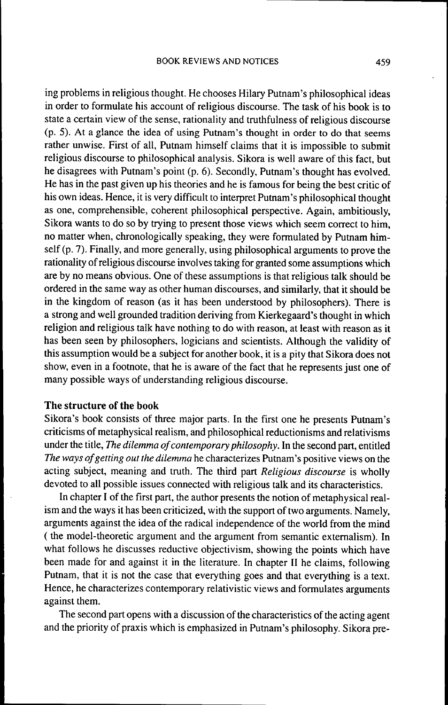ing problems in religious thought. He chooses Hilary Putnam's philosophical ideas in order to formulate his account of religious discourse. The task of his book is to state a certain view of the sense, rationality and truthfulness of religious discourse (p. 5). At a glance the idea of using Putnam's thought in order to do that seems rather unwise. First of all, Putnam himself claims that it is impossible to submit religious discourse to philosophical analysis. Sikora is well aware of this fact, but he disagrees with Putnam's point (p. 6). Secondly, Putnam's thought has evolved. He has in the past given up his theories and he is famous for being the best critic of his own ideas. Hence, it is very difficult to interpret Putnam's philosophical thought as one, comprehensible, coherent philosophical perspective. Again, ambitiously, Sikora wants to do so by trying to present those views which seem correct to him, no matter when, chronologically speaking, they were formulated by Putnam himself (p. 7). Finally, and more generally, using philosophical arguments to prove the rationality of religious discourse involves taking for granted some assumptions which are by no means obvious. One of these assumptions is that religious talk should be ordered in the same way as other human discourses, and similarly, that it should be in the kingdom of reason (as it has been understood by philosophers). There is a strong and well grounded tradition deriving from Kierkegaard's thought in which religion and religious talk have nothing to do with reason, at least with reason as it has been seen by philosophers, logicians and scientists. Although the validity of this assumption would be a subject for another book, it is a pity that Sikora does not show, even in a footnote, that he is aware of the fact that he represents just one of many possible ways of understanding religious discourse.

#### **The structure of the book**

Sikora's book consists of three major parts. In the first one he presents Putnam's criticisms of metaphysical realism, and philosophical reductionisms and relativisms under the title. *The dilemma of contemporary philosophy.* In the second part, entitled *The ways of getting out the dilemma* he characterizes Putnam's positive views on the acting subject, meaning and truth. The third part *Religious discourse* is wholly devoted to all possible issues connected with religious talk and its characteristics.

In chapter I of the first part, the author presents the notion of metaphysical realism and the ways it has been criticized, with the support of two arguments. Namely, arguments against the idea of the radical independence of the world from the mind ( the model-theoretic argument and the argument from semantic extemalism). In what follows he discusses reductive objectivism, showing the points which have been made for and against it in the literature. In chapter II he claims, following Putnam, that it is not the case that everything goes and that everything is a text. Hence, he characterizes contemporary relativistic views and formulates arguments against them.

The second part opens with a discussion of the characteristics of the acting agent and the priority of praxis which is emphasized in Putnam's philosophy. Sikora pre-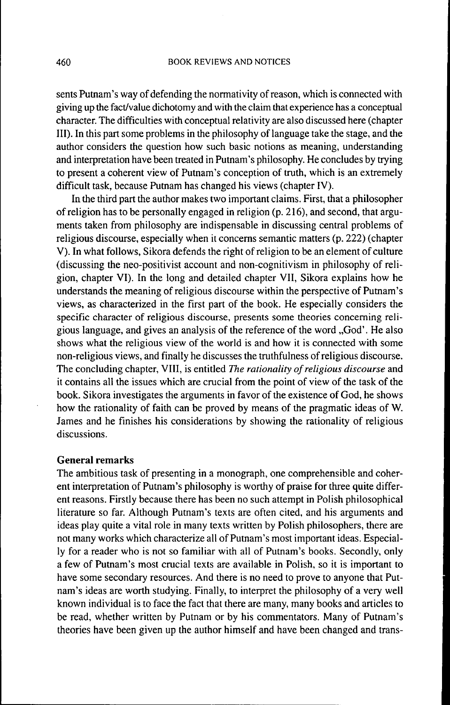sents Putnam's way of defending the normativity of reason, which is connected with giving up the fact/value dichotomy and with the claim that experience has a conceptual character. The difficulties with conceptual relativity are also discussed here (chapter III). In this part some problems in the philosophy of language take the stage, and the author considers the question how such basic notions as meaning, understanding and interpretation have been treated in Putnam's philosophy. He concludes by trying to present a coherent view of Pumam's conception of truth, which is an extremely difficult task, because Putnam has changed his views (chapter IV).

In the third part the author makes two important claims. First, that a philosopher of religion has to be personally engaged in religion (p. 216), and second, that arguments taken from philosophy are indispensable in discussing central problems of religious discourse, especially when it concems semantic matters (p. 222) (chapter V). In what follows, Sikora defends the right of religion to be an element of culture (discussing the neo-positivist account and non-cognitivism in philosophy of religion, chapter VI). In the long and detailed chapter VII, Sikora explains how he understands the meaning of religious discourse within the perspective of Putnam's views, as characterized in the first part of the book. He especially considers the specific character of religious discourse, presents some theories concerning religious language, and gives an analysis of the reference of the word "God'. He also shows what the religious view of the world is and how it is connected with some non-religious views, and finally he discusses the truthfulness of religious discourse. The concluding chapter, VIII, is entitled *The rationality of religious discourse* and it contains all the issues which are crucial from the point of view of the task of the book. Sikora investigates the arguments in favor of the existence of God, he shows how the rationality of faith can be proved by means of the pragmatic ideas of W. James and he finishes his considerations by showing the rationality of religious discussions.

#### **General remarks**

The ambitious task of presenting in a monograph, one comprehensible and coherent interpretation of Putnam's philosophy is worthy of praise for three quite different reasons. Firstly because there has been no such attempt in Polish philosophical literature so far. Although Putnam's texts are often cited, and his arguments and ideas play quite a vital role in many texts written by Polish philosophers, there are not many works which characterize all of Putnam's most important ideas. Especially for a reader who is not so familiar with all of Putnam's books. Secondly, only a few of Putnam's most crucial texts are available in Polish, so it is important to have some secondary resources. And there is no need to prove to anyone that Putnam's ideas are worth studying. Finally, to interpret the philosophy of a very well known individual is to face the fact that there are many, many books and articles to be read, whether written by Putnam or by his commentators. Many of Putnam's theories have been given up the author himself and have been changed and trans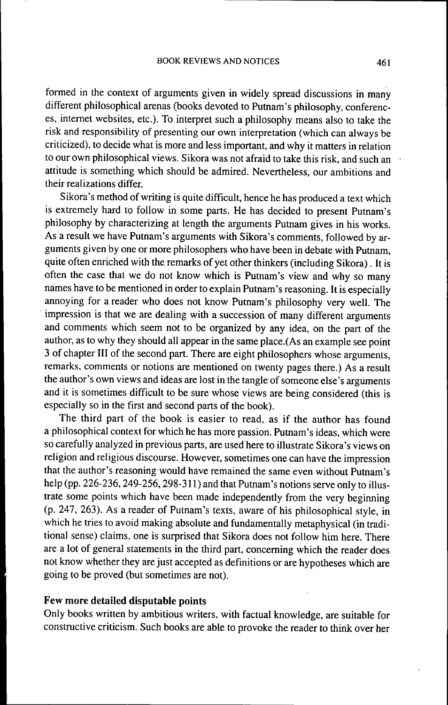formed in the context of arguments given in widely spread discussions in many different philosophical arenas (books devoted to Putnam's philosophy, conferences, internet websites, etc.). To interpret such a philosophy means also to take the risk and responsibility of presenting our own interpretation (which can always be criticized), to decide what is more and less important, and why it matters in relation to our own philosophical views. Sikora was not afraid to take this risk, and such an attitude is something which should be admired. Nevertheless, our ambitions and their realizations differ.

Sikora's method of writing is quite difficult, hence he has produced a text which is extremely hard to follow in some parts. He has decided to present Putnam's philosophy by characterizing at length the arguments Putnam gives in his works. As a result we have Putnam's arguments with Sikora's comments, followed by arguments given by one or more philosophers who have been in debate with Putnam, quite often enriched with the remarks of yet other thinkers (including Sikora). It is often the case that we do not know which is Putnam's view and why so many names have to be mentioned in order to explain Putnam's reasoning. It is especially annoying for a reader who does not know Putnam's philosophy very well. The impression is that we are dealing with a succession of many different arguments and comments which seem not to be organized by any idea, on the part of the author, as to why they should all appear in the same place.(As an example see point 3 of chapter III of the second part. There are eight philosophers whose arguments, remarks, comments or notions are mentioned on twenty pages there.) As a result the author's own views and ideas are lost in the tangle of someone else's arguments and it is sometimes difficult to be sure whose views are being considered (this is especially so in the first and second parts of the book).

The third part of the book is easier to read, as if the author has found a philosophical context for which he has more passion. Putnam's ideas, which were so carefully analyzed in previous parts, are used here to illustrate Sikora's views on religion and religious discourse. However, sometimes one can have the impression that the author's reasoning would have remained the same even without Putnam's help (pp. 226-236, 249-256, 298-311) and that Putnam's notions serve only to illustrate some points which have been made independently from the very beginning (p. 247, 263). As a reader of Putnam's texts, aware of his philosophical style, in which he tries to avoid making absolute and fundamentally metaphysical (in traditional sense) claims, one is surprised that Sikora does not follow him here. There are a lot of general statements in the third part, conceming which the reader does not know whether they are just accepted as definitions or are hypotheses which are going to be proved (but sometimes are not).

## Few more detailed disputable points

Only books written by ambitious writers, with factual knowledge, are suitable for constructive criticism. Such books are able to provoke the reader to think over her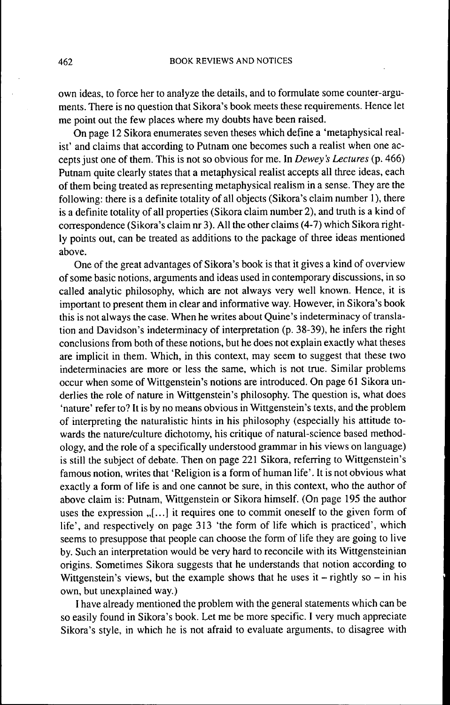own ideas, to force her to analyze the details, and to formulate some counter-arguments. There is no question that Sikora's book meets these requirements. Hence let me point out the few places where my doubts have been raised.

On page 12 Sikora enumerates seven theses which define a 'metaphysical realist' and claims that according to Putnam one becomes such a realist when one accepts just one of them. This is not so obvious for me. In *Dewey 's Lectures* (p. 466) Putnam quite clearly states that a metaphysical realist accepts all three ideas, each of them being treated as representing metaphysical realism in a sense. They are the following: there is a definite totality of all objects (Sikora's claim number 1), there is a definite totality of all properties (Sikora claim number 2), and truth is a kind of correspondence (Sikora's claim nr 3). All the other claims (4-7) which Sikora rightly points out, can be treated as additions to the package of three ideas mentioned above.

One of the great advantages of Sikora's book is that it gives a kind of overview of some basic notions, arguments and ideas used in contemporary discussions, in so called analytic philosophy, which are not always very well known. Hence, it is important to present them in clear and informative way. However, in Sikora's book this is not always the case. When he writes about Quine's indeterminacy of translation and Davidson's indeterminacy of interpretation (p. 38-39), he infers the right conclusions from both of these notions, but he does not explain exactly what theses are implicit in them. Which, in this context, may seem to suggest that these two indeterminacies are more or less the same, which is not true. Similar problems occur when some of Wittgenstein's notions are introduced. On page 61 Sikora underlies the role of nature in Wittgenstein's philosophy. The question is, what does 'nature' refer to? It is by no means obvious in Wittgenstein's texts, and the problem of interpreting the naturalistic hints in his philosophy (especially his attitude towards the nature/culture dichotomy, his critique of natural-science based methodology, and the role of a specifically understood grammar in his views on language) is still the subject of debate. Then on page 221 Sikora, referring to Wittgenstein's famous notion, writes that 'Religion is a form of human life'. It is not obvious what exactly a form of life is and one cannot be sure, in this context, who the author of above claim is: Putnam, Wittgenstein or Sikora himself. (On page 195 the author uses the expression  $, [\dots]$  it requires one to commit oneself to the given form of life', and respectively on page 313 'the form of life which is practiced', which seems to presuppose that people can choose the form of life they are going to live by. Such an interpretation would be very hard to reconcile with its Wittgensteinian origins. Sometimes Sikora suggests that he understands that notion according to Wittgenstein's views, but the example shows that he uses it  $-$  rightly so  $-$  in his own, but unexplained way.)

I have already mentioned the problem with the general statements which can be so easily found in Sikora's book. Let me be more specific. I very much appreciate Sikora's style, in which he is not afraid to evaluate arguments, to disagree with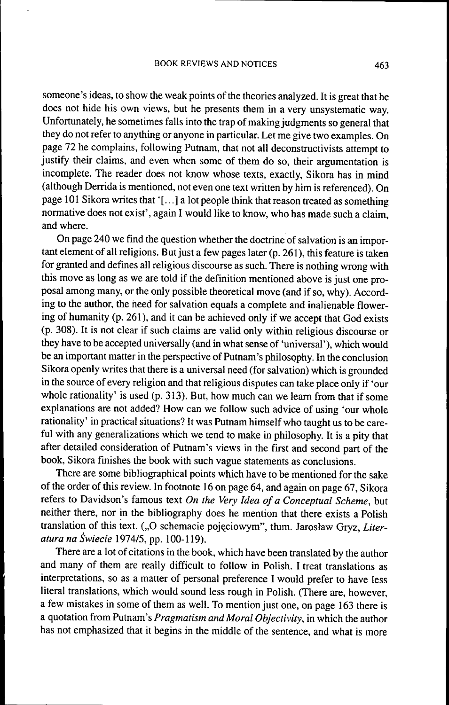someone's ideas, to show the weak points of the theories analyzed. It is great that he does not hide his own views, but he presents them in a very unsystematic way. Unfortunately, he sometimes falls into the trap of making judgments so general that they do not refer to anything or anyone in particular. Let me give two examples. On page 72 he complains, following Putnam, that not all deconstructivists attempt to justify their claims, and even when some of them do so, their argumentation is incomplete. The reader does not know whose texts, exactly, Sikora has in mind (although Derrida is mentioned, not even one text written by him is referenced). On page 101 Sikora writes that '[...] a lot people think that reason treated as something normative does not exist', again I would like to know, who has made such a claim, and where.

On page 240 we find the question whether the doctrine of salvation is an important element of all religions. But just a few pages later (p. 261), this feature is taken for granted and defines all religious discourse as such. There is nothing wrong with this move as long as we are told if the definition mentioned above is just one proposal among many, or the only possible theoretical move (and if so, why). According to the author, the need for salvation equals a complete and inalienable flowering of humanity (p. 261 ), and it can be achieved only if we accept that God exists (p. 308). It is not clear if such claims are valid only within religious discourse or they have to be accepted universally (and in what sense of 'universal'), which would be an important matter in the perspective of Putnam's philosophy. In the conclusion Sikora openly writes that there is a universal need (for salvation) which is grounded in the source of every religion and that religious disputes can take place only if 'our whole rationality' is used (p. 313). But, how much can we learn from that if some explanations are not added? How can we follow such advice of using 'our whole rationality' in practical situations? It was Putnam himself who taught us to be careful with any generalizations which we tend to make in philosophy. It is a pity that after detailed consideration of Putnam's views in the first and second part of the book, Sikora finishes the book with such vague statements as conclusions.

There are some bibliographical points which have to be mentioned for the sake of the order of this review. In footnote 16 on page 64, and again on page 67, Sikora refers to Davidson's famous text *On the Very Idea of a Conceptual Scheme,* but neither there, nor in the bibliography does he mention that there exists a Polish translation of this text. ("O schemacie pojęciowym", tłum. Jarosław Gryz, Liter*atura na Éwiecie* 1974/5, pp. 100-119).

There are a lot of citations in the book, which have been translated by the author and many of them are really difficult to follow in Polish. I treat translations as interpretations, so as a matter of personal preference I would prefer to have less literal translations, which would sound less rough in Polish. (There are, however, a few mistakes in some of them as well. To mention just one, on page 163 there is a quotation from Putnam's *Pragmatism and Moral Objectivity,* in which the author has not emphasized that it begins in the middle of the sentence, and what is more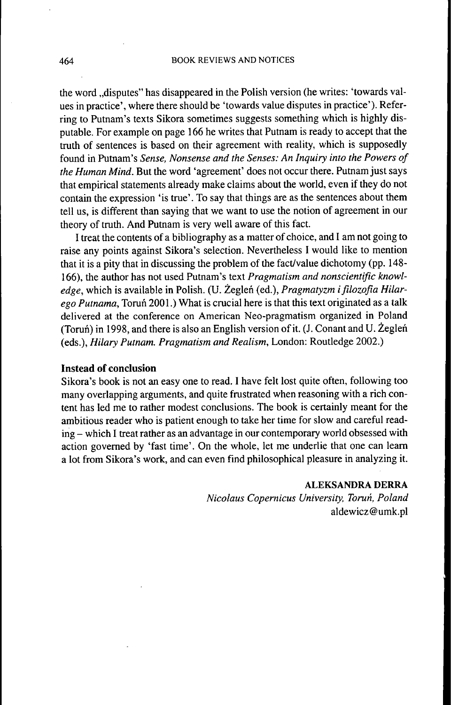the word "disputes" has disappeared in the Polish version (he writes: 'towards values in practice', where there should be 'towards value disputes in practice'). Referring to Putnam's texts Sikora sometimes suggests something which is highly disputable. For example on page 166 he writes that Putnam is ready to accept that the truth of sentences is based on their agreement with reality, which is supposedly found in Putnam's *Sense, Nonsense and the Senses: An Inquiry into the Powers of the Human Mind.* But the word 'agreement' does not occur there. Putnam just says that empirical statements already make claims about the world, even if they do not contain the expression 'is true'. To say that things are as the sentences about them tell us, is different than saying that we want to use the notion of agreement in our theory of truth. And Putnam is very well aware of this fact.

I treat the contents of a bibliography as a matter of choice, and I am not going to raise any points against Sikora's selection. Nevertheless I would like to mention that it is a pity that in discussing the problem of the fact/value dichotomy (pp. 148- 166), the author has not used Putnam's text *Pragmatism and nonscientific knowl*edge, which is available in Polish. (U. Żegleń (ed.), Pragmatyzm i filozofia Hilar*ego Putnama,* Toruñ 2001.) What is crucial here is that this text originated as a talk delivered at the conference on American Neo-pragmatism organized in Poland (Toruñ) in 1998, and there is also an English version of it. (J. Conant and U. Zeglen (eds.), *Hilary Putnam. Pragmatism and Realism,* London: Routledge 2002.)

## **Instead of conclusion**

Sikora's book is not an easy one to read. I have felt lost quite often, following too many overlapping arguments, and quite frustrated when reasoning with a rich content has led me to rather modest conclusions. The book is certainly meant for the ambitious reader who is patient enough to take her time for slow and careful reading - which I treat rather as an advantage in our contemporary world obsessed with action governed by 'fast time'. On the whole, let me underlie that one can leam a lot from Sikora's work, and can even find philosophical pleasure in analyzing it.

## **ALEKSANDRA DERRA**

*Nicolaus Copernicus University, Torun, Poland* aldewicz@umk.pl